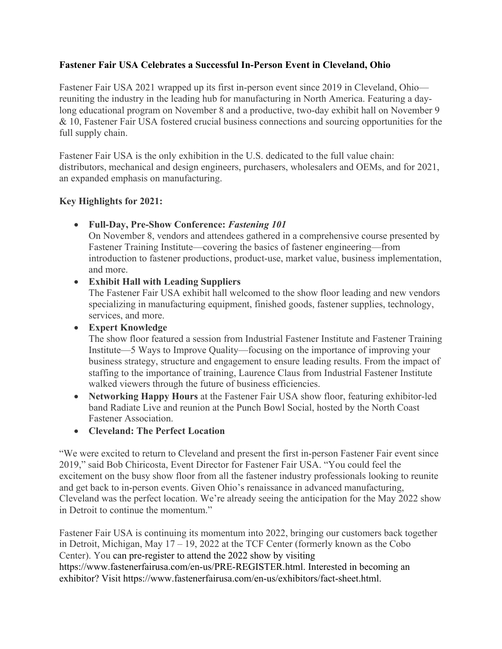## **Fastener Fair USA Celebrates a Successful In-Person Event in Cleveland, Ohio**

Fastener Fair USA 2021 wrapped up its first in-person event since 2019 in Cleveland, Ohio reuniting the industry in the leading hub for manufacturing in North America. Featuring a daylong educational program on November 8 and a productive, two-day exhibit hall on November 9 & 10, Fastener Fair USA fostered crucial business connections and sourcing opportunities for the full supply chain.

Fastener Fair USA is the only exhibition in the U.S. dedicated to the full value chain: distributors, mechanical and design engineers, purchasers, wholesalers and OEMs, and for 2021, an expanded emphasis on manufacturing.

## **Key Highlights for 2021:**

• **Full-Day, Pre-Show Conference:** *Fastening 101*

On November 8, vendors and attendees gathered in a comprehensive course presented by Fastener Training Institute—covering the basics of fastener engineering—from introduction to fastener productions, product-use, market value, business implementation, and more.

## • **Exhibit Hall with Leading Suppliers**

The Fastener Fair USA exhibit hall welcomed to the show floor leading and new vendors specializing in manufacturing equipment, finished goods, fastener supplies, technology, services, and more.

• **Expert Knowledge** 

The show floor featured a session from Industrial Fastener Institute and Fastener Training Institute—5 Ways to Improve Quality—focusing on the importance of improving your business strategy, structure and engagement to ensure leading results. From the impact of staffing to the importance of training, Laurence Claus from Industrial Fastener Institute walked viewers through the future of business efficiencies.

- **Networking Happy Hours** at the Fastener Fair USA show floor, featuring exhibitor-led band Radiate Live and reunion at the Punch Bowl Social, hosted by the North Coast Fastener Association.
- **Cleveland: The Perfect Location**

"We were excited to return to Cleveland and present the first in-person Fastener Fair event since 2019," said Bob Chiricosta, Event Director for Fastener Fair USA. "You could feel the excitement on the busy show floor from all the fastener industry professionals looking to reunite and get back to in-person events. Given Ohio's renaissance in advanced manufacturing, Cleveland was the perfect location. We're already seeing the anticipation for the May 2022 show in Detroit to continue the momentum."

Fastener Fair USA is continuing its momentum into 2022, bringing our customers back together in Detroit, Michigan, May 17 – 19, 2022 at the TCF Center (formerly known as the Cobo Center). You can pre-register to attend the 2022 show by visiting https://www.fastenerfairusa.com/en-us/PRE-REGISTER.html. Interested in becoming an exhibitor? Visit https://www.fastenerfairusa.com/en-us/exhibitors/fact-sheet.html.